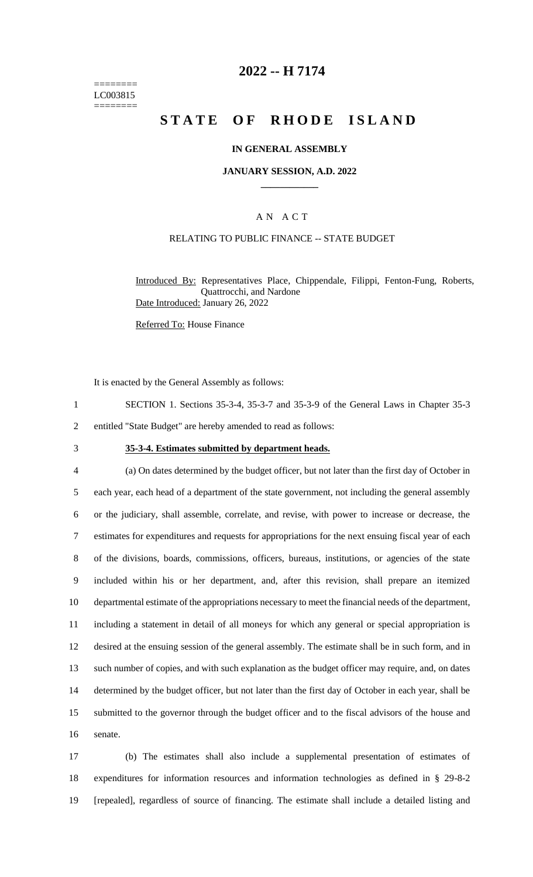======== LC003815 ========

## **2022 -- H 7174**

# **STATE OF RHODE ISLAND**

#### **IN GENERAL ASSEMBLY**

#### **JANUARY SESSION, A.D. 2022 \_\_\_\_\_\_\_\_\_\_\_\_**

#### A N A C T

#### RELATING TO PUBLIC FINANCE -- STATE BUDGET

Introduced By: Representatives Place, Chippendale, Filippi, Fenton-Fung, Roberts, Quattrocchi, and Nardone Date Introduced: January 26, 2022

Referred To: House Finance

It is enacted by the General Assembly as follows:

- 1 SECTION 1. Sections 35-3-4, 35-3-7 and 35-3-9 of the General Laws in Chapter 35-3
- 2 entitled "State Budget" are hereby amended to read as follows:
- 

#### 3 **35-3-4. Estimates submitted by department heads.**

 (a) On dates determined by the budget officer, but not later than the first day of October in each year, each head of a department of the state government, not including the general assembly or the judiciary, shall assemble, correlate, and revise, with power to increase or decrease, the estimates for expenditures and requests for appropriations for the next ensuing fiscal year of each of the divisions, boards, commissions, officers, bureaus, institutions, or agencies of the state included within his or her department, and, after this revision, shall prepare an itemized departmental estimate of the appropriations necessary to meet the financial needs of the department, including a statement in detail of all moneys for which any general or special appropriation is desired at the ensuing session of the general assembly. The estimate shall be in such form, and in such number of copies, and with such explanation as the budget officer may require, and, on dates determined by the budget officer, but not later than the first day of October in each year, shall be submitted to the governor through the budget officer and to the fiscal advisors of the house and 16 senate.

17 (b) The estimates shall also include a supplemental presentation of estimates of 18 expenditures for information resources and information technologies as defined in § 29-8-2 19 [repealed], regardless of source of financing. The estimate shall include a detailed listing and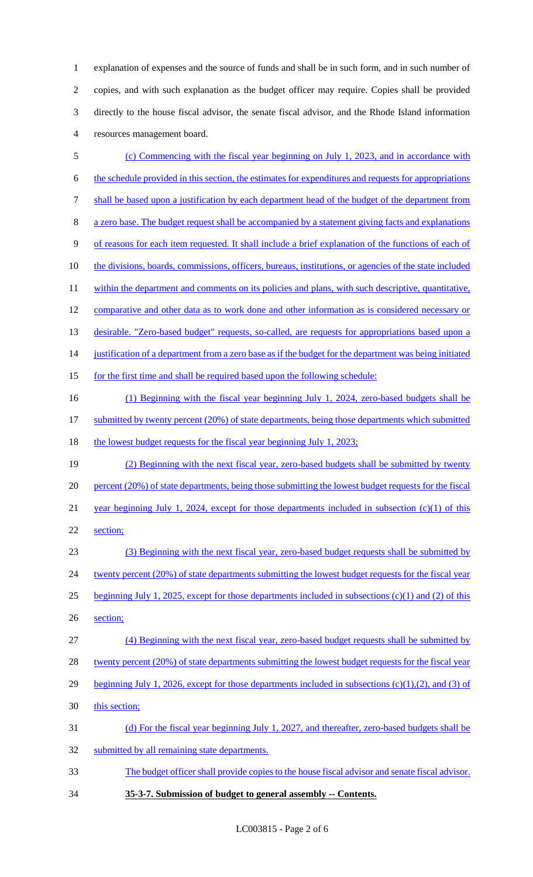explanation of expenses and the source of funds and shall be in such form, and in such number of copies, and with such explanation as the budget officer may require. Copies shall be provided directly to the house fiscal advisor, the senate fiscal advisor, and the Rhode Island information resources management board.

 (c) Commencing with the fiscal year beginning on July 1, 2023, and in accordance with the schedule provided in this section, the estimates for expenditures and requests for appropriations shall be based upon a justification by each department head of the budget of the department from a zero base. The budget request shall be accompanied by a statement giving facts and explanations of reasons for each item requested. It shall include a brief explanation of the functions of each of 10 the divisions, boards, commissions, officers, bureaus, institutions, or agencies of the state included 11 within the department and comments on its policies and plans, with such descriptive, quantitative, comparative and other data as to work done and other information as is considered necessary or 13 desirable. "Zero-based budget" requests, so-called, are requests for appropriations based upon a justification of a department from a zero base as if the budget for the department was being initiated 15 for the first time and shall be required based upon the following schedule: (1) Beginning with the fiscal year beginning July 1, 2024, zero-based budgets shall be 17 submitted by twenty percent (20%) of state departments, being those departments which submitted 18 the lowest budget requests for the fiscal year beginning July 1, 2023; (2) Beginning with the next fiscal year, zero-based budgets shall be submitted by twenty 20 percent (20%) of state departments, being those submitting the lowest budget requests for the fiscal 21 year beginning July 1, 2024, except for those departments included in subsection (c)(1) of this section; (3) Beginning with the next fiscal year, zero-based budget requests shall be submitted by 24 twenty percent (20%) of state departments submitting the lowest budget requests for the fiscal year beginning July 1, 2025, except for those departments included in subsections (c)(1) and (2) of this section; (4) Beginning with the next fiscal year, zero-based budget requests shall be submitted by 28 twenty percent (20%) of state departments submitting the lowest budget requests for the fiscal year 29 beginning July 1, 2026, except for those departments included in subsections  $(c)(1),(2)$ , and  $(3)$  of 30 this section; (d) For the fiscal year beginning July 1, 2027, and thereafter, zero-based budgets shall be submitted by all remaining state departments. The budget officer shall provide copies to the house fiscal advisor and senate fiscal advisor. **35-3-7. Submission of budget to general assembly -- Contents.**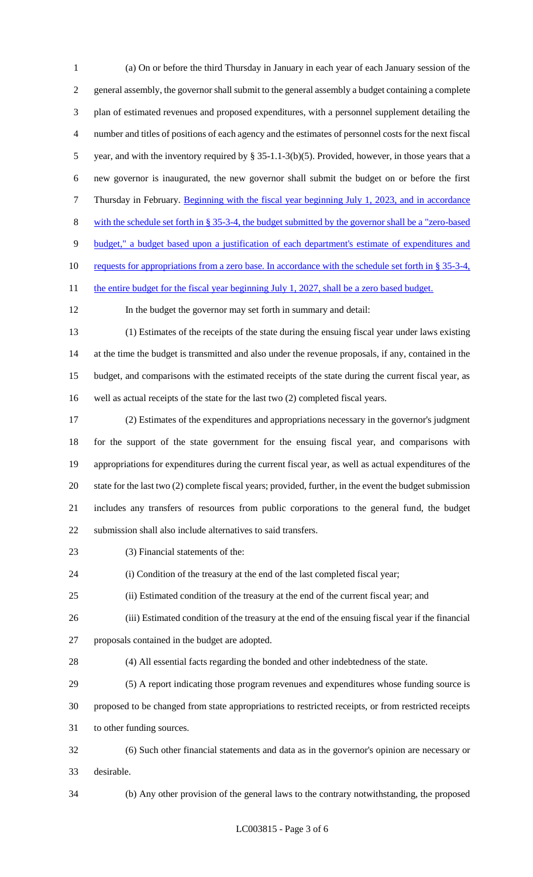(a) On or before the third Thursday in January in each year of each January session of the general assembly, the governor shall submit to the general assembly a budget containing a complete plan of estimated revenues and proposed expenditures, with a personnel supplement detailing the number and titles of positions of each agency and the estimates of personnel costs for the next fiscal year, and with the inventory required by § 35-1.1-3(b)(5). Provided, however, in those years that a new governor is inaugurated, the new governor shall submit the budget on or before the first Thursday in February. Beginning with the fiscal year beginning July 1, 2023, and in accordance with the schedule set forth in § 35-3-4, the budget submitted by the governor shall be a "zero-based budget," a budget based upon a justification of each department's estimate of expenditures and requests for appropriations from a zero base. In accordance with the schedule set forth in § 35-3-4, 11 the entire budget for the fiscal year beginning July 1, 2027, shall be a zero based budget. In the budget the governor may set forth in summary and detail: (1) Estimates of the receipts of the state during the ensuing fiscal year under laws existing at the time the budget is transmitted and also under the revenue proposals, if any, contained in the budget, and comparisons with the estimated receipts of the state during the current fiscal year, as well as actual receipts of the state for the last two (2) completed fiscal years. (2) Estimates of the expenditures and appropriations necessary in the governor's judgment for the support of the state government for the ensuing fiscal year, and comparisons with appropriations for expenditures during the current fiscal year, as well as actual expenditures of the state for the last two (2) complete fiscal years; provided, further, in the event the budget submission includes any transfers of resources from public corporations to the general fund, the budget submission shall also include alternatives to said transfers. 23 (3) Financial statements of the: (i) Condition of the treasury at the end of the last completed fiscal year; (ii) Estimated condition of the treasury at the end of the current fiscal year; and (iii) Estimated condition of the treasury at the end of the ensuing fiscal year if the financial proposals contained in the budget are adopted. (4) All essential facts regarding the bonded and other indebtedness of the state. (5) A report indicating those program revenues and expenditures whose funding source is proposed to be changed from state appropriations to restricted receipts, or from restricted receipts to other funding sources. (6) Such other financial statements and data as in the governor's opinion are necessary or desirable. (b) Any other provision of the general laws to the contrary notwithstanding, the proposed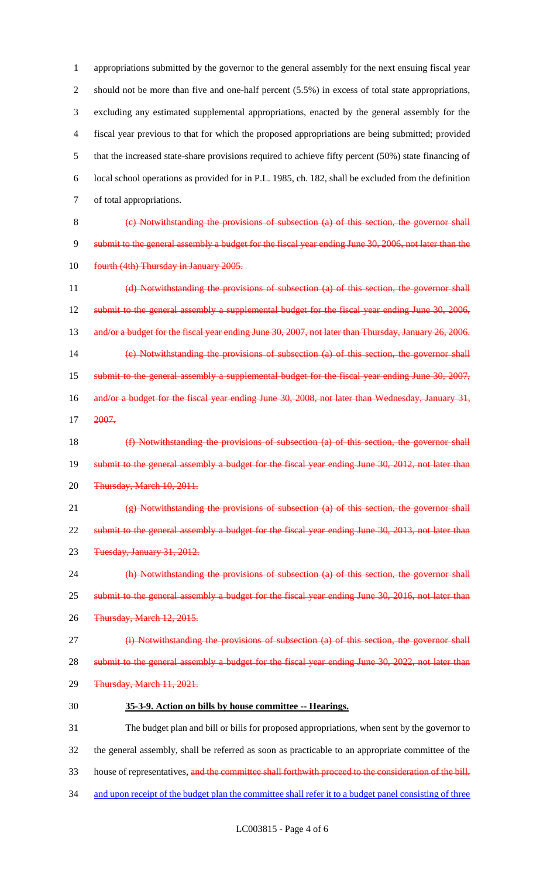appropriations submitted by the governor to the general assembly for the next ensuing fiscal year 2 should not be more than five and one-half percent (5.5%) in excess of total state appropriations, excluding any estimated supplemental appropriations, enacted by the general assembly for the fiscal year previous to that for which the proposed appropriations are being submitted; provided that the increased state-share provisions required to achieve fifty percent (50%) state financing of local school operations as provided for in P.L. 1985, ch. 182, shall be excluded from the definition of total appropriations.

 (c) Notwithstanding the provisions of subsection (a) of this section, the governor shall submit to the general assembly a budget for the fiscal year ending June 30, 2006, not later than the 10 fourth (4th) Thursday in January 2005.

 (d) Notwithstanding the provisions of subsection (a) of this section, the governor shall 12 submit to the general assembly a supplemental budget for the fiscal year ending June 30, 2006, 13 and/or a budget for the fiscal year ending June 30, 2007, not later than Thursday, January 26, 2006. (e) Notwithstanding the provisions of subsection (a) of this section, the governor shall 15 submit to the general assembly a supplemental budget for the fiscal year ending June 30, 2007, 16 and/or a budget for the fiscal year ending June 30, 2008, not later than Wednesday, January 31, 2007.

 (f) Notwithstanding the provisions of subsection (a) of this section, the governor shall 19 submit to the general assembly a budget for the fiscal year ending June 30, 2012, not later than Thursday, March 10, 2011.

 (g) Notwithstanding the provisions of subsection (a) of this section, the governor shall 22 submit to the general assembly a budget for the fiscal year ending June 30, 2013, not later than Tuesday, January 31, 2012.

 (h) Notwithstanding the provisions of subsection (a) of this section, the governor shall 25 submit to the general assembly a budget for the fiscal year ending June 30, 2016, not later than Thursday, March 12, 2015.

(i) Notwithstanding the provisions of subsection (a) of this section, the governor shall

28 submit to the general assembly a budget for the fiscal year ending June 30, 2022, not later than

- Thursday, March 11, 2021.
- **35-3-9. Action on bills by house committee -- Hearings.**

 The budget plan and bill or bills for proposed appropriations, when sent by the governor to the general assembly, shall be referred as soon as practicable to an appropriate committee of the 33 house of representatives, and the committee shall forthwith proceed to the consideration of the bill.

34 and upon receipt of the budget plan the committee shall refer it to a budget panel consisting of three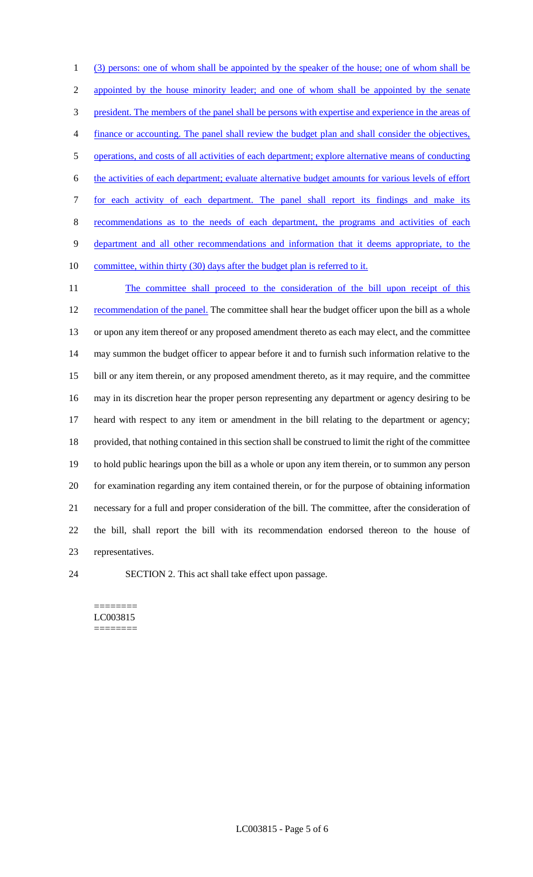(3) persons: one of whom shall be appointed by the speaker of the house; one of whom shall be appointed by the house minority leader; and one of whom shall be appointed by the senate president. The members of the panel shall be persons with expertise and experience in the areas of finance or accounting. The panel shall review the budget plan and shall consider the objectives, operations, and costs of all activities of each department; explore alternative means of conducting the activities of each department; evaluate alternative budget amounts for various levels of effort for each activity of each department. The panel shall report its findings and make its recommendations as to the needs of each department, the programs and activities of each department and all other recommendations and information that it deems appropriate, to the 10 committee, within thirty (30) days after the budget plan is referred to it. 11 The committee shall proceed to the consideration of the bill upon receipt of this 12 recommendation of the panel. The committee shall hear the budget officer upon the bill as a whole or upon any item thereof or any proposed amendment thereto as each may elect, and the committee may summon the budget officer to appear before it and to furnish such information relative to the bill or any item therein, or any proposed amendment thereto, as it may require, and the committee may in its discretion hear the proper person representing any department or agency desiring to be heard with respect to any item or amendment in the bill relating to the department or agency; provided, that nothing contained in this section shall be construed to limit the right of the committee

 to hold public hearings upon the bill as a whole or upon any item therein, or to summon any person for examination regarding any item contained therein, or for the purpose of obtaining information necessary for a full and proper consideration of the bill. The committee, after the consideration of the bill, shall report the bill with its recommendation endorsed thereon to the house of representatives.

SECTION 2. This act shall take effect upon passage.

======== LC003815 ========